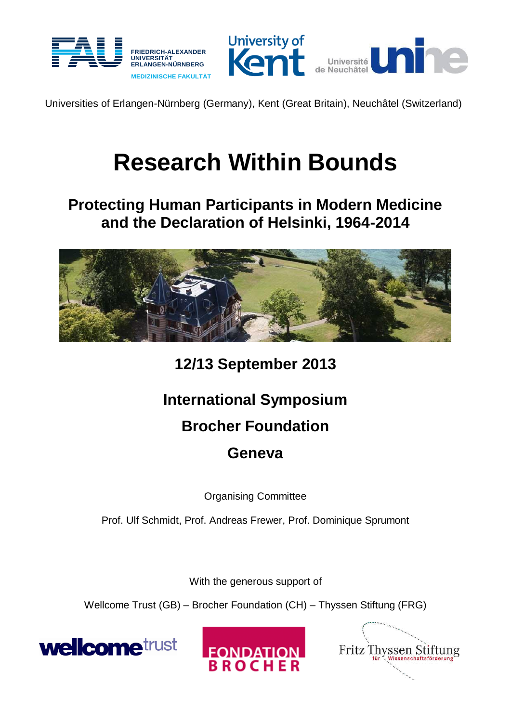



Universities of Erlangen-Nürnberg (Germany), Kent (Great Britain), Neuchâtel (Switzerland)

# **Research Within Bounds**

## **Protecting Human Participants in Modern Medicine and the Declaration of Helsinki, 1964-2014**



**12/13 September 2013**

# **International Symposium**

## **Brocher Foundation**

## **Geneva**

Organising Committee

Prof. Ulf Schmidt, Prof. Andreas Frewer, Prof. Dominique Sprumont

With the generous support of

Wellcome Trust (GB) – Brocher Foundation (CH) – Thyssen Stiftung (FRG)





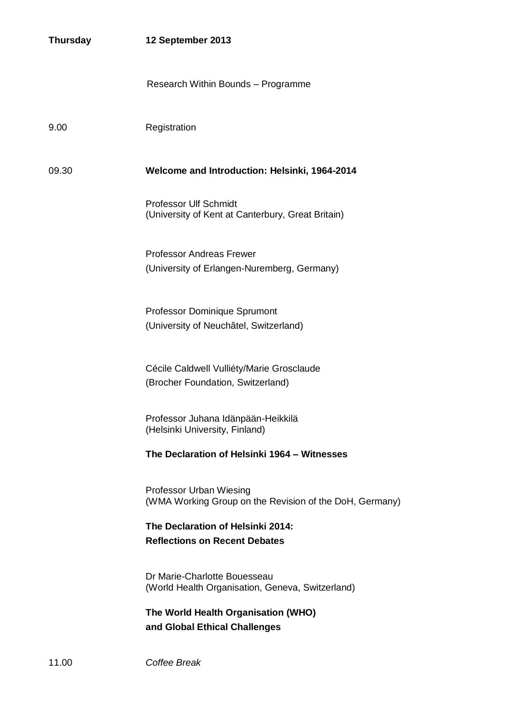| <b>Thursday</b> | 12 September 2013                                                                  |
|-----------------|------------------------------------------------------------------------------------|
|                 | Research Within Bounds - Programme                                                 |
| 9.00            | Registration                                                                       |
| 09.30           | Welcome and Introduction: Helsinki, 1964-2014                                      |
|                 | <b>Professor Ulf Schmidt</b><br>(University of Kent at Canterbury, Great Britain)  |
|                 | <b>Professor Andreas Frewer</b><br>(University of Erlangen-Nuremberg, Germany)     |
|                 | Professor Dominique Sprumont<br>(University of Neuchâtel, Switzerland)             |
|                 | Cécile Caldwell Vulliéty/Marie Grosclaude<br>(Brocher Foundation, Switzerland)     |
|                 | Professor Juhana Idänpään-Heikkilä<br>(Helsinki University, Finland)               |
|                 | The Declaration of Helsinki 1964 - Witnesses                                       |
|                 | Professor Urban Wiesing<br>(WMA Working Group on the Revision of the DoH, Germany) |
|                 | The Declaration of Helsinki 2014:<br><b>Reflections on Recent Debates</b>          |
|                 | Dr Marie-Charlotte Bouesseau<br>(World Health Organisation, Geneva, Switzerland)   |
|                 | The World Health Organisation (WHO)<br>and Global Ethical Challenges               |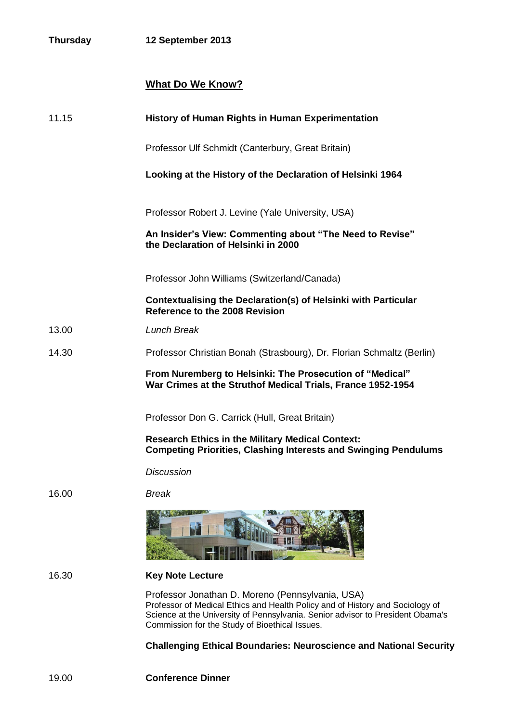### **What Do We Know?**

| 11.15 | <b>History of Human Rights in Human Experimentation</b>                                                                                                                                                                                                               |
|-------|-----------------------------------------------------------------------------------------------------------------------------------------------------------------------------------------------------------------------------------------------------------------------|
|       | Professor Ulf Schmidt (Canterbury, Great Britain)                                                                                                                                                                                                                     |
|       | Looking at the History of the Declaration of Helsinki 1964                                                                                                                                                                                                            |
|       | Professor Robert J. Levine (Yale University, USA)                                                                                                                                                                                                                     |
|       | An Insider's View: Commenting about "The Need to Revise"<br>the Declaration of Helsinki in 2000                                                                                                                                                                       |
|       | Professor John Williams (Switzerland/Canada)                                                                                                                                                                                                                          |
|       | Contextualising the Declaration(s) of Helsinki with Particular<br>Reference to the 2008 Revision                                                                                                                                                                      |
| 13.00 | <b>Lunch Break</b>                                                                                                                                                                                                                                                    |
| 14.30 | Professor Christian Bonah (Strasbourg), Dr. Florian Schmaltz (Berlin)                                                                                                                                                                                                 |
|       | From Nuremberg to Helsinki: The Prosecution of "Medical"<br>War Crimes at the Struthof Medical Trials, France 1952-1954                                                                                                                                               |
|       | Professor Don G. Carrick (Hull, Great Britain)                                                                                                                                                                                                                        |
|       | <b>Research Ethics in the Military Medical Context:</b><br><b>Competing Priorities, Clashing Interests and Swinging Pendulums</b>                                                                                                                                     |
|       | <b>Discussion</b>                                                                                                                                                                                                                                                     |
| 16.00 | <b>Break</b>                                                                                                                                                                                                                                                          |
|       |                                                                                                                                                                                                                                                                       |
| 16.30 | <b>Key Note Lecture</b>                                                                                                                                                                                                                                               |
|       | Professor Jonathan D. Moreno (Pennsylvania, USA)<br>Professor of Medical Ethics and Health Policy and of History and Sociology of<br>Science at the University of Pennsylvania. Senior advisor to President Obama's<br>Commission for the Study of Bioethical Issues. |
|       | <b>Challenging Ethical Boundaries: Neuroscience and National Security</b>                                                                                                                                                                                             |
|       |                                                                                                                                                                                                                                                                       |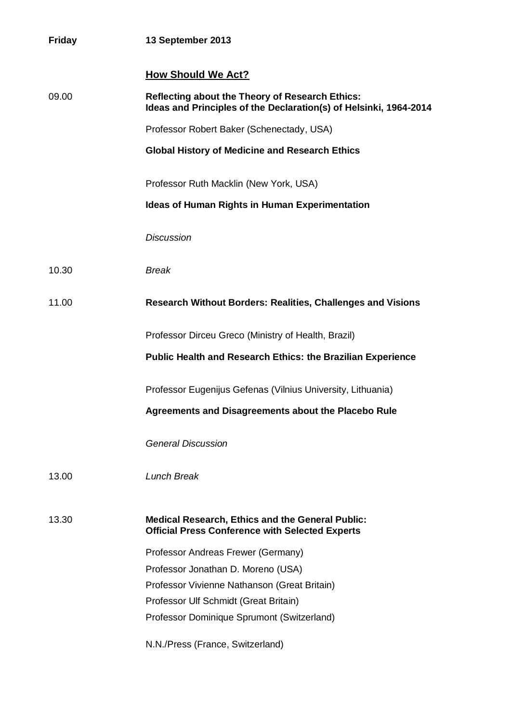| <b>Friday</b> | 13 September 2013                                                                                                           |
|---------------|-----------------------------------------------------------------------------------------------------------------------------|
|               | <b>How Should We Act?</b>                                                                                                   |
| 09.00         | <b>Reflecting about the Theory of Research Ethics:</b><br>Ideas and Principles of the Declaration(s) of Helsinki, 1964-2014 |
|               | Professor Robert Baker (Schenectady, USA)                                                                                   |
|               | <b>Global History of Medicine and Research Ethics</b>                                                                       |
|               | Professor Ruth Macklin (New York, USA)                                                                                      |
|               | <b>Ideas of Human Rights in Human Experimentation</b>                                                                       |
|               | <b>Discussion</b>                                                                                                           |
| 10.30         | <b>Break</b>                                                                                                                |
| 11.00         | <b>Research Without Borders: Realities, Challenges and Visions</b>                                                          |
|               | Professor Dirceu Greco (Ministry of Health, Brazil)                                                                         |
|               | <b>Public Health and Research Ethics: the Brazilian Experience</b>                                                          |
|               | Professor Eugenijus Gefenas (Vilnius University, Lithuania)                                                                 |
|               | Agreements and Disagreements about the Placebo Rule                                                                         |
|               | <b>General Discussion</b>                                                                                                   |
| 13.00         | <b>Lunch Break</b>                                                                                                          |
| 13.30         | <b>Medical Research, Ethics and the General Public:</b><br><b>Official Press Conference with Selected Experts</b>           |
|               | Professor Andreas Frewer (Germany)                                                                                          |
|               | Professor Jonathan D. Moreno (USA)                                                                                          |
|               | Professor Vivienne Nathanson (Great Britain)                                                                                |
|               | Professor Ulf Schmidt (Great Britain)                                                                                       |
|               | Professor Dominique Sprumont (Switzerland)                                                                                  |
|               | N.N./Press (France, Switzerland)                                                                                            |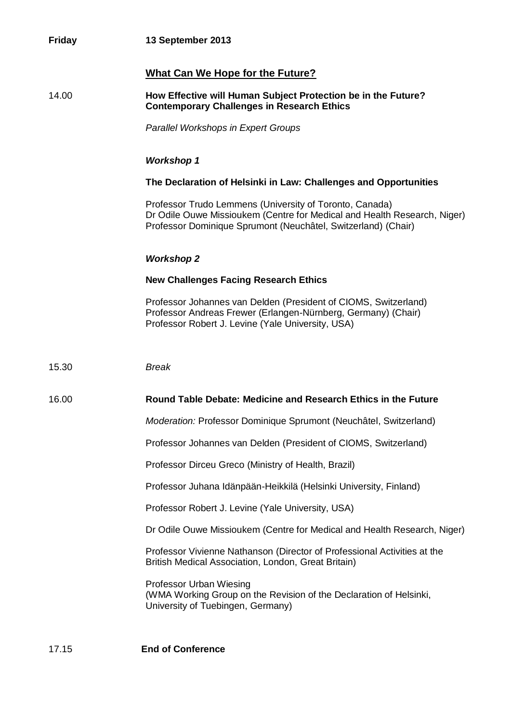| <b>Friday</b> | 13 September 2013                                                                                                                                                                                    |
|---------------|------------------------------------------------------------------------------------------------------------------------------------------------------------------------------------------------------|
|               | <b>What Can We Hope for the Future?</b>                                                                                                                                                              |
| 14.00         | How Effective will Human Subject Protection be in the Future?<br><b>Contemporary Challenges in Research Ethics</b>                                                                                   |
|               | <b>Parallel Workshops in Expert Groups</b>                                                                                                                                                           |
|               | <b>Workshop 1</b>                                                                                                                                                                                    |
|               | The Declaration of Helsinki in Law: Challenges and Opportunities                                                                                                                                     |
|               | Professor Trudo Lemmens (University of Toronto, Canada)<br>Dr Odile Ouwe Missioukem (Centre for Medical and Health Research, Niger)<br>Professor Dominique Sprumont (Neuchâtel, Switzerland) (Chair) |
|               | <b>Workshop 2</b>                                                                                                                                                                                    |
|               | <b>New Challenges Facing Research Ethics</b>                                                                                                                                                         |
|               | Professor Johannes van Delden (President of CIOMS, Switzerland)<br>Professor Andreas Frewer (Erlangen-Nürnberg, Germany) (Chair)<br>Professor Robert J. Levine (Yale University, USA)                |
| 15.30         | <b>Break</b>                                                                                                                                                                                         |
| 16.00         | Round Table Debate: Medicine and Research Ethics in the Future                                                                                                                                       |
|               | Moderation: Professor Dominique Sprumont (Neuchâtel, Switzerland)                                                                                                                                    |
|               | Professor Johannes van Delden (President of CIOMS, Switzerland)                                                                                                                                      |
|               | Professor Dirceu Greco (Ministry of Health, Brazil)                                                                                                                                                  |
|               | Professor Juhana Idänpään-Heikkilä (Helsinki University, Finland)                                                                                                                                    |
|               | Professor Robert J. Levine (Yale University, USA)                                                                                                                                                    |
|               | Dr Odile Ouwe Missioukem (Centre for Medical and Health Research, Niger)                                                                                                                             |
|               | Professor Vivienne Nathanson (Director of Professional Activities at the<br>British Medical Association, London, Great Britain)                                                                      |
|               | Professor Urban Wiesing<br>(WMA Working Group on the Revision of the Declaration of Helsinki,<br>University of Tuebingen, Germany)                                                                   |
| 17.15         | <b>End of Conference</b>                                                                                                                                                                             |